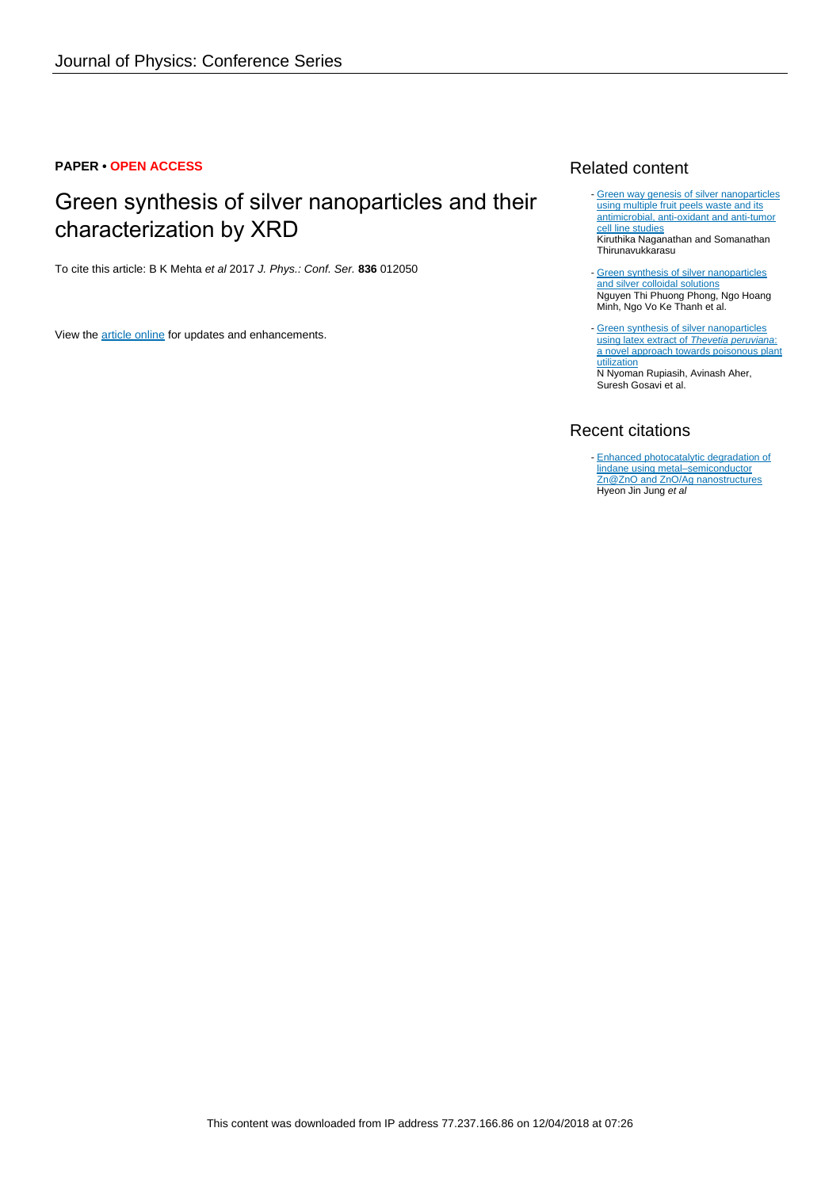### **PAPER • OPEN ACCESS**

# Green synthesis of silver nanoparticles and their characterization by XRD

To cite this article: B K Mehta et al 2017 J. Phys.: Conf. Ser. **836** 012050

View the [article online](https://doi.org/10.1088/1742-6596/836/1/012050) for updates and enhancements.

# Related content

- [Green way genesis of silver nanoparticles](http://iopscience.iop.org/article/10.1088/1757-899X/191/1/012009) [using multiple fruit peels waste and its](http://iopscience.iop.org/article/10.1088/1757-899X/191/1/012009) [antimicrobial, anti-oxidant and anti-tumor](http://iopscience.iop.org/article/10.1088/1757-899X/191/1/012009) [cell line studies](http://iopscience.iop.org/article/10.1088/1757-899X/191/1/012009) Kiruthika Naganathan and Somanathan
- Thirunavukkarasu [Green synthesis of silver nanoparticles](http://iopscience.iop.org/article/10.1088/1742-6596/187/1/012078) [and silver colloidal solutions](http://iopscience.iop.org/article/10.1088/1742-6596/187/1/012078) Nguyen Thi Phuong Phong, Ngo Hoang

Minh, Ngo Vo Ke Thanh et al.

[Green synthesis of silver nanoparticles](http://iopscience.iop.org/article/10.1088/1742-6596/423/1/012032) [using latex extract of](http://iopscience.iop.org/article/10.1088/1742-6596/423/1/012032) Thevetia peruviana[:](http://iopscience.iop.org/article/10.1088/1742-6596/423/1/012032) [a novel approach towards poisonous plant](http://iopscience.iop.org/article/10.1088/1742-6596/423/1/012032) [utilization](http://iopscience.iop.org/article/10.1088/1742-6596/423/1/012032) N Nyoman Rupiasih, Avinash Aher, Suresh Gosavi et al.

# Recent citations

- **[Enhanced photocatalytic degradation of](http://dx.doi.org/10.1016/j.jes.2018.02.014)** [lindane using metal–semiconductor](http://dx.doi.org/10.1016/j.jes.2018.02.014) [Zn@ZnO and ZnO/Ag nanostructures](http://dx.doi.org/10.1016/j.jes.2018.02.014) Hyeon Jin Jung et al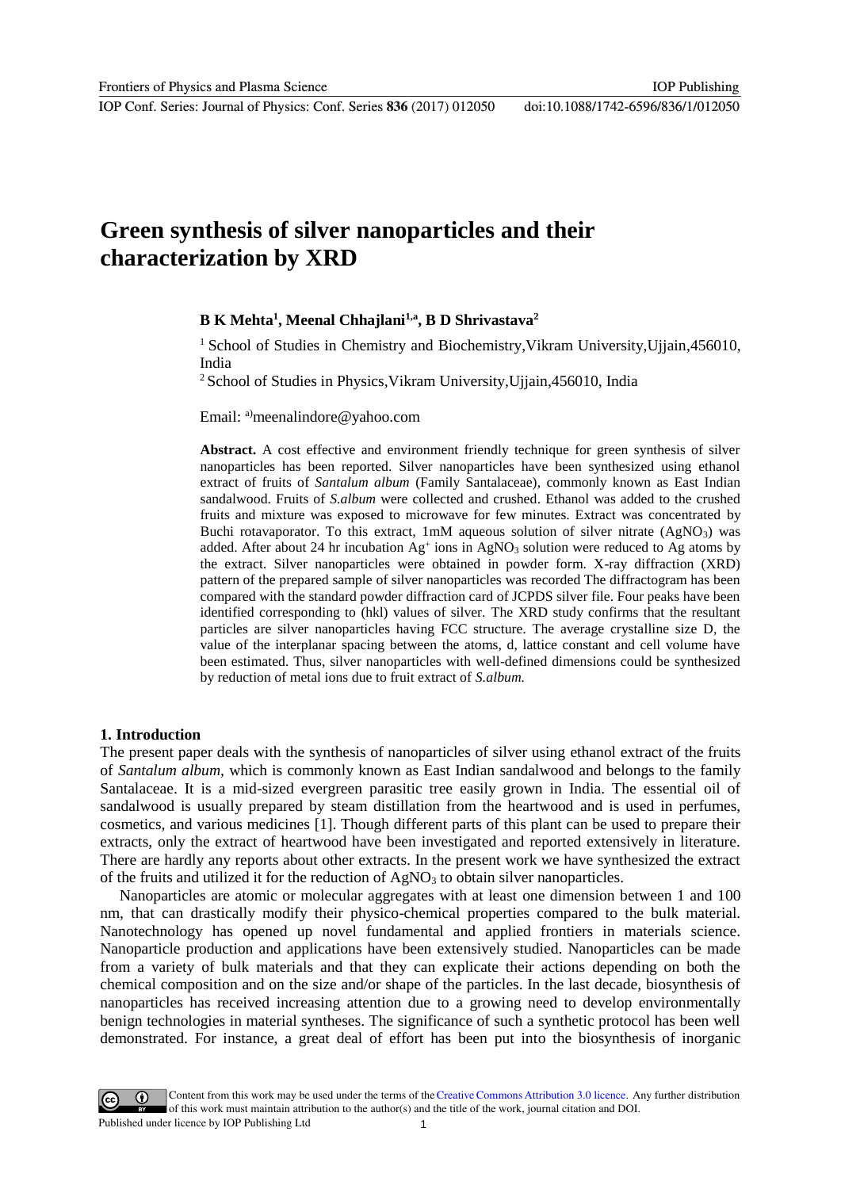**1234567890** IOP Conf. Series: Journal of Physics: Conf. Series **836** (2017) 012050 doi :10.1088/1742-6596/836/1/012050

# **Green synthesis of silver nanoparticles and their characterization by XRD**

### **B K Mehta1 , Meenal Chhajlani1,a, B D Shrivastava2**

<sup>1</sup> School of Studies in Chemistry and Biochemistry, Vikram University, Ujjain, 456010, India

<sup>2</sup> School of Studies in Physics,Vikram University,Ujjain,456010, India

Email: <sup>a)</sup>meenalindore@yahoo.com

**Abstract.** A cost effective and environment friendly technique for green synthesis of silver nanoparticles has been reported. Silver nanoparticles have been synthesized using ethanol extract of fruits of *Santalum album* (Family Santalaceae)*,* commonly known as East Indian sandalwood. Fruits of *S.album* were collected and crushed. Ethanol was added to the crushed fruits and mixture was exposed to microwave for few minutes. Extract was concentrated by Buchi rotavaporator. To this extract,  $1 \text{mM}$  aqueous solution of silver nitrate  $(AgNO<sub>3</sub>)$  was added. After about 24 hr incubation  $Ag<sup>+</sup>$  ions in AgNO<sub>3</sub> solution were reduced to Ag atoms by the extract. Silver nanoparticles were obtained in powder form. X-ray diffraction (XRD) pattern of the prepared sample of silver nanoparticles was recorded The diffractogram has been compared with the standard powder diffraction card of JCPDS silver file. Four peaks have been identified corresponding to (hkl) values of silver. The XRD study confirms that the resultant particles are silver nanoparticles having FCC structure. The average crystalline size D, the value of the interplanar spacing between the atoms, d, lattice constant and cell volume have been estimated. Thus, silver nanoparticles with well-defined dimensions could be synthesized by reduction of metal ions due to fruit extract of *S.album.*

#### **1. Introduction**

The present paper deals with the synthesis of nanoparticles of silver using ethanol extract of the fruits of *Santalum album,* which is commonly known as East Indian sandalwood and belongs to the family Santalaceae. It is a mid-sized evergreen parasitic tree easily grown in India. The essential oil of sandalwood is usually prepared by steam distillation from the heartwood and is used in perfumes, cosmetics, and various medicines [1]. Though different parts of this plant can be used to prepare their extracts, only the extract of heartwood have been investigated and reported extensively in literature. There are hardly any reports about other extracts. In the present work we have synthesized the extract of the fruits and utilized it for the reduction of  $AgNO<sub>3</sub>$  to obtain silver nanoparticles.

 Nanoparticles are atomic or molecular aggregates with at least one dimension between 1 and 100 nm, that can drastically modify their physico-chemical properties compared to the bulk material. Nanotechnology has opened up novel fundamental and applied frontiers in materials science. Nanoparticle production and applications have been extensively studied. Nanoparticles can be made from a variety of bulk materials and that they can explicate their actions depending on both the chemical composition and on the size and/or shape of the particles. In the last decade, biosynthesis of nanoparticles has received increasing attention due to a growing need to develop environmentally benign technologies in material syntheses. The significance of such a synthetic protocol has been well demonstrated. For instance, a great deal of effort has been put into the biosynthesis of inorganic

1 Content from this work may be used under the terms of the[Creative Commons Attribution 3.0 licence.](http://creativecommons.org/licenses/by/3.0) Any further distribution of this work must maintain attribution to the author(s) and the title of the work, journal citation and DOI. Published under licence by IOP Publishing Ltd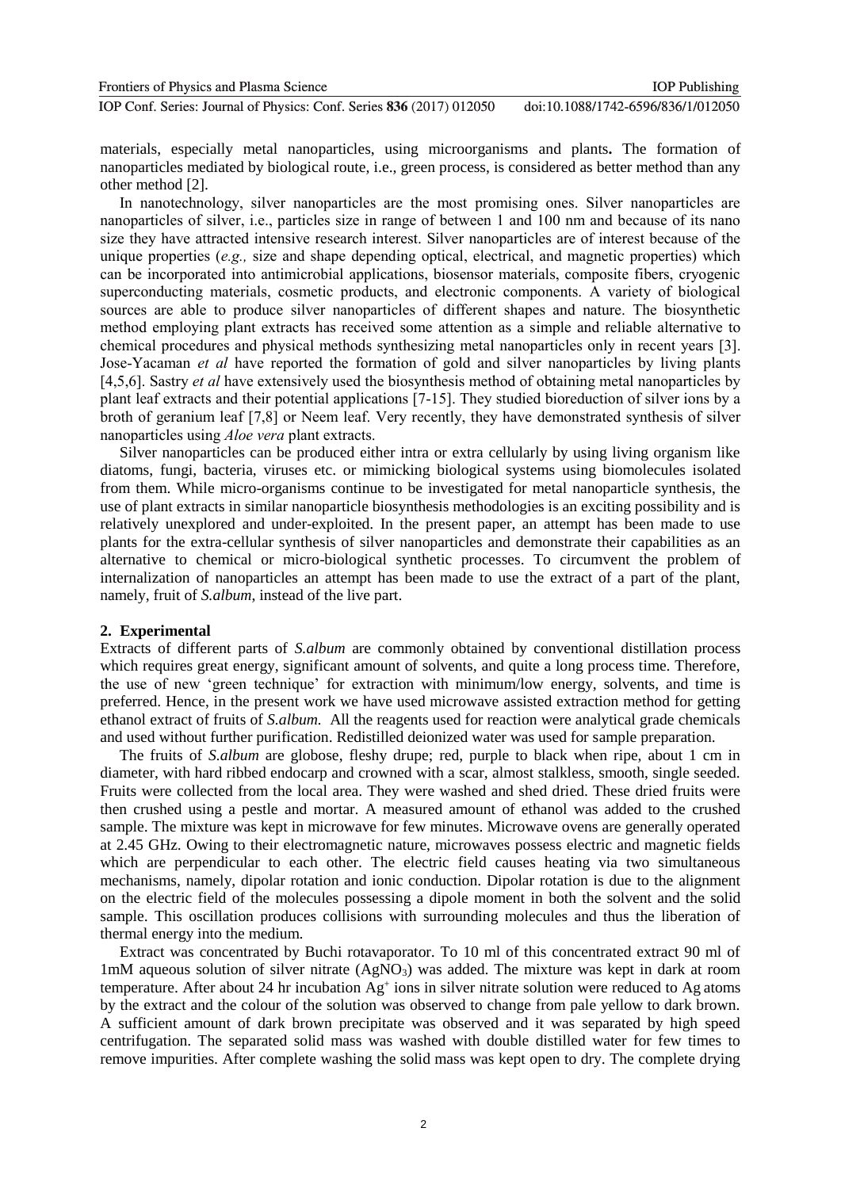**1234567890** IOP Conf. Series: Journal of Physics: Conf. Series **836** (2017) 012050 doi :10.1088/1742-6596/836/1/012050 Frontiers of Physics and Plasma Science IOP Publishing IOP Publishing

materials, especially metal nanoparticles, using microorganisms and plants**.** The formation of nanoparticles mediated by biological route, i.e., green process, is considered as better method than any other method [2].

 In nanotechnology, silver nanoparticles are the most promising ones. Silver nanoparticles are nanoparticles of silver, i.e., particles size in range of between 1 and 100 nm and because of its nano size they have attracted intensive research interest. Silver nanoparticles are of interest because of the unique properties (*e.g.,* size and shape depending optical, electrical, and magnetic properties) which can be incorporated into antimicrobial applications, biosensor materials, composite fibers, cryogenic superconducting materials, cosmetic products, and electronic components. A variety of biological sources are able to produce silver nanoparticles of different shapes and nature. The biosynthetic method employing plant extracts has received some attention as a simple and reliable alternative to chemical procedures and physical methods synthesizing metal nanoparticles only in recent years [3]. Jose-Yacaman *et al* have reported the formation of gold and silver nanoparticles by living plants [4,5,6]. Sastry *et al* have extensively used the biosynthesis method of obtaining metal nanoparticles by plant leaf extracts and their potential applications [7-15]. They studied bioreduction of silver ions by a broth of geranium leaf [7,8] or Neem leaf. Very recently, they have demonstrated synthesis of silver nanoparticles using *Aloe vera* plant extracts.

 Silver nanoparticles can be produced either intra or extra cellularly by using living organism like diatoms, fungi, bacteria, viruses etc. or mimicking biological systems using biomolecules isolated from them. While micro-organisms continue to be investigated for metal nanoparticle synthesis, the use of plant extracts in similar nanoparticle biosynthesis methodologies is an exciting possibility and is relatively unexplored and under-exploited. In the present paper, an attempt has been made to use plants for the extra-cellular synthesis of silver nanoparticles and demonstrate their capabilities as an alternative to chemical or micro-biological synthetic processes. To circumvent the problem of internalization of nanoparticles an attempt has been made to use the extract of a part of the plant, namely, fruit of *S.album*, instead of the live part.

## **2. Experimental**

Extracts of different parts of *S.album* are commonly obtained by conventional distillation process which requires great energy, significant amount of solvents, and quite a long process time. Therefore, the use of new 'green technique' for extraction with minimum/low energy, solvents, and time is preferred. Hence, in the present work we have used microwave assisted extraction method for getting ethanol extract of fruits of *S.album.* All the reagents used for reaction were analytical grade chemicals and used without further purification. Redistilled deionized water was used for sample preparation.

 The fruits of *S.album* are globose, fleshy drupe; red, purple to black when ripe, about 1 cm in diameter, with hard ribbed endocarp and crowned with a scar, almost stalkless, smooth, single seeded. Fruits were collected from the local area. They were washed and shed dried. These dried fruits were then crushed using a pestle and mortar. A measured amount of ethanol was added to the crushed sample. The mixture was kept in microwave for few minutes. Microwave ovens are generally operated at 2.45 GHz. Owing to their electromagnetic nature, microwaves possess electric and magnetic fields which are perpendicular to each other. The electric field causes heating via two simultaneous mechanisms, namely, dipolar rotation and ionic conduction. Dipolar rotation is due to the alignment on the electric field of the molecules possessing a dipole moment in both the solvent and the solid sample. This oscillation produces collisions with surrounding molecules and thus the liberation of thermal energy into the medium.

 Extract was concentrated by Buchi rotavaporator. To 10 ml of this concentrated extract 90 ml of 1mM aqueous solution of silver nitrate  $(AgNO<sub>3</sub>)$  was added. The mixture was kept in dark at room temperature. After about 24 hr incubation Ag<sup>+</sup> ions in silver nitrate solution were reduced to Ag atoms by the extract and the colour of the solution was observed to change from pale yellow to dark brown. A sufficient amount of dark brown precipitate was observed and it was separated by high speed centrifugation. The separated solid mass was washed with double distilled water for few times to remove impurities. After complete washing the solid mass was kept open to dry. The complete drying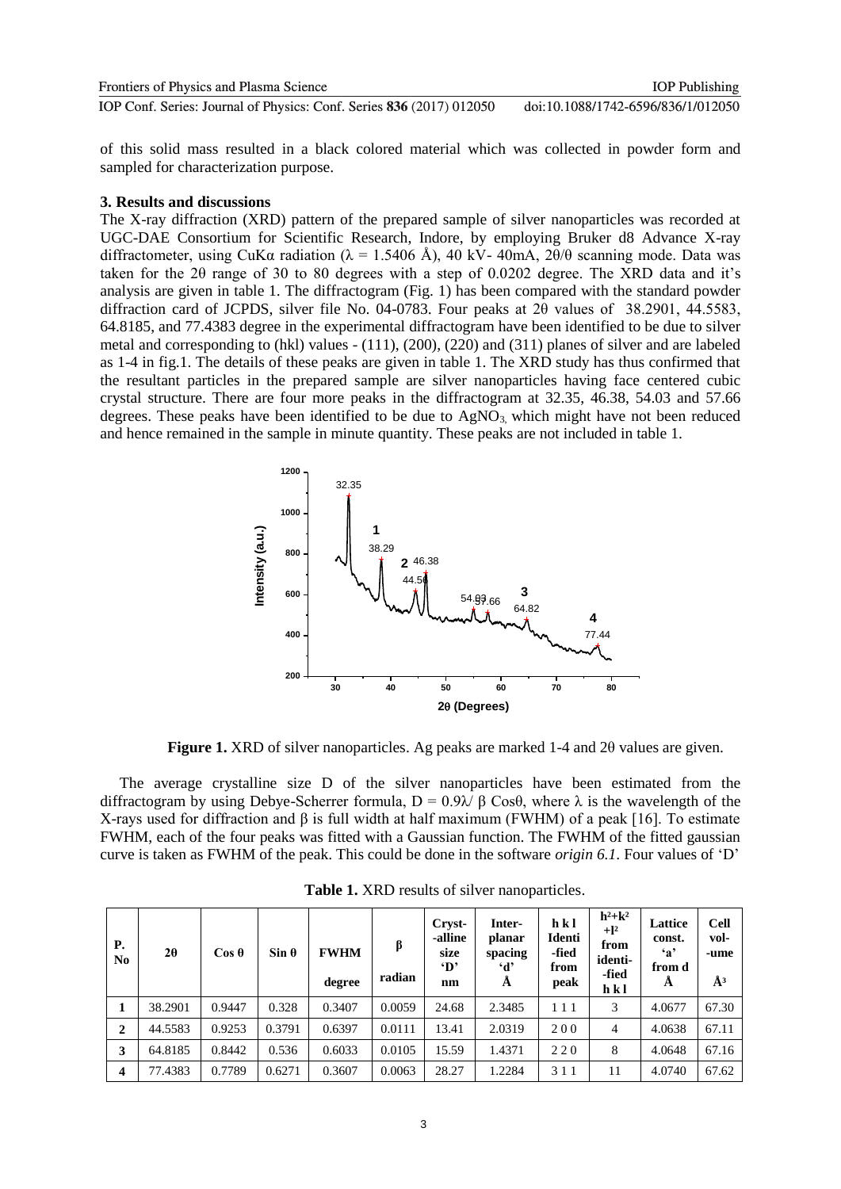| <b>Frontiers of Physics and Plasma Science</b>                       | <b>IOP</b> Publishing              |
|----------------------------------------------------------------------|------------------------------------|
| IOP Conf. Series: Journal of Physics: Conf. Series 836 (2017) 012050 | doi:10.1088/1742-6596/836/1/012050 |

of this solid mass resulted in a black colored material which was collected in powder form and sampled for characterization purpose.

## **3. Results and discussions**

The X-ray diffraction (XRD) pattern of the prepared sample of silver nanoparticles was recorded at UGC-DAE Consortium for Scientific Research, Indore, by employing Bruker d8 Advance X-ray diffractometer, using CuKa radiation ( $\lambda = 1.5406$  Å), 40 kV- 40mA, 2 $\theta$ / $\theta$  scanning mode. Data was taken for the 2θ range of 30 to 80 degrees with a step of 0.0202 degree. The XRD data and it's analysis are given in table 1. The diffractogram (Fig. 1) has been compared with the standard powder diffraction card of JCPDS, silver file No. 04-0783. Four peaks at 2θ values of 38.2901, 44.5583, 64.8185, and 77.4383 degree in the experimental diffractogram have been identified to be due to silver metal and corresponding to (hkl) values - (111), (200), (220) and (311) planes of silver and are labeled as 1-4 in fig.1. The details of these peaks are given in table 1. The XRD study has thus confirmed that the resultant particles in the prepared sample are silver nanoparticles having face centered cubic crystal structure. There are four more peaks in the diffractogram at 32.35, 46.38, 54.03 and 57.66 degrees. These peaks have been identified to be due to  $AgNO<sub>3</sub>$ , which might have not been reduced and hence remained in the sample in minute quantity. These peaks are not included in table 1.



**Figure 1.** XRD of silver nanoparticles. Ag peaks are marked 1-4 and 2θ values are given.

 The average crystalline size D of the silver nanoparticles have been estimated from the diffractogram by using Debye-Scherrer formula,  $D = 0.9\lambda/\beta$  Cos $\theta$ , where  $\lambda$  is the wavelength of the X-rays used for diffraction and β is full width at half maximum (FWHM) of a peak [16]. To estimate FWHM, each of the four peaks was fitted with a Gaussian function. The FWHM of the fitted gaussian curve is taken as FWHM of the peak. This could be done in the software *origin 6.1*. Four values of 'D'

| Р.<br>N <sub>0</sub> | $2\theta$ | $\cos \theta$ | $\sin \theta$ | <b>FWHM</b><br>degree | β<br>radian | Cryst-<br>-alline<br>size<br>$\mathbf{D}^{\prime}$<br>nm | Inter-<br>planar<br>spacing<br>$\mathbf{d}$<br>A | hkl<br><b>Identi</b><br>-fied<br>from<br>peak | $h^2 + k^2$<br>$+12$<br>from<br>identi-<br>-fied<br>hkl | <b>Lattice</b><br>const.<br>$\mathbf{a}$<br>from d<br>A | <b>Cell</b><br>vol-<br>-ume<br>Å <sup>3</sup> |
|----------------------|-----------|---------------|---------------|-----------------------|-------------|----------------------------------------------------------|--------------------------------------------------|-----------------------------------------------|---------------------------------------------------------|---------------------------------------------------------|-----------------------------------------------|
| 1                    | 38.2901   | 0.9447        | 0.328         | 0.3407                | 0.0059      | 24.68                                                    | 2.3485                                           | 111                                           | 3                                                       | 4.0677                                                  | 67.30                                         |
| $\mathbf{2}$         | 44.5583   | 0.9253        | 0.3791        | 0.6397                | 0.0111      | 13.41                                                    | 2.0319                                           | 200                                           | 4                                                       | 4.0638                                                  | 67.11                                         |
| 3                    | 64.8185   | 0.8442        | 0.536         | 0.6033                | 0.0105      | 15.59                                                    | 1.4371                                           | 220                                           | 8                                                       | 4.0648                                                  | 67.16                                         |
| 4                    | 77.4383   | 0.7789        | 0.6271        | 0.3607                | 0.0063      | 28.27                                                    | 1.2284                                           | 3 1 1                                         | 11                                                      | 4.0740                                                  | 67.62                                         |

 **Table 1.** XRD results of silver nanoparticles.